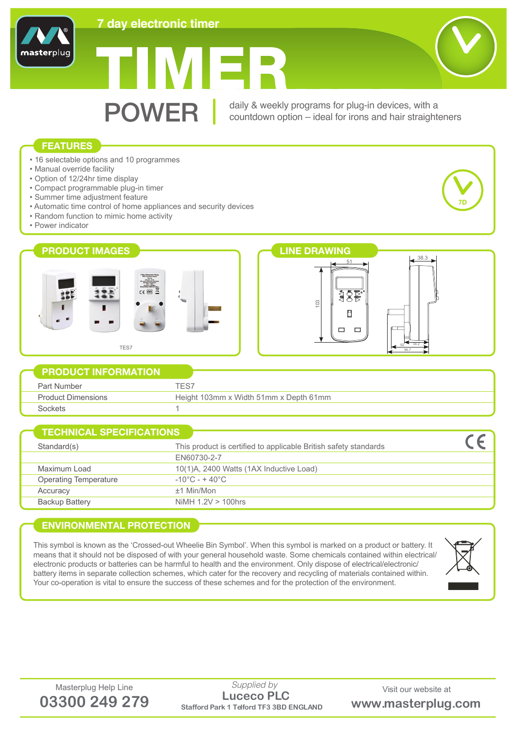

# TIMER



## **FEATURES**

masterplug

- 16 selectable options and 10 programmes
- Manual override facility
- Option of 12/24hr time display
- Compact programmable plug-in timer
- Summer time adjustment feature
- Automatic time control of home appliances and security devices
- Random function to mimic home activity
- Power indicator





|                           | <b>EXAMPLE PRODUCT INFORMATION</b>     |
|---------------------------|----------------------------------------|
| Part Number               |                                        |
| <b>Product Dimensions</b> | Height 103mm x Width 51mm x Depth 61mm |
| inckets                   |                                        |

| This product is certified to applicable British safety standards<br>Standard(s) |  |
|---------------------------------------------------------------------------------|--|
| FN60730-2-7                                                                     |  |
| 10(1)A, 2400 Watts (1AX Inductive Load)<br>Maximum Load                         |  |
| $-10^{\circ}$ C - + 40 $^{\circ}$ C<br><b>Operating Temperature</b>             |  |
| $±1$ Min/Mon<br>Accuracy                                                        |  |
| Backup Battery<br>NiMH $1.2V > 100$ hrs                                         |  |

## **ENVIRONMENTAL PROTECTION**

This symbol is known as the 'Crossed-out Wheelie Bin Symbol'. When this symbol is marked on a product or battery. It means that it should not be disposed of with your general household waste. Some chemicals contained within electrical/ electronic products or batteries can be harmful to health and the environment. Only dispose of electrical/electronic/ battery items in separate collection schemes, which cater for the recovery and recycling of materials contained within. Your co-operation is vital to ensure the success of these schemes and for the protection of the environment.



Masterplug Help Line Supplied by Supplied by Visit our website at **03300 249 279 Stafford Park 1 Telford TF3 3BD ENGLAND www.masterplug.com Luceco PLC** *Supplied by*



**7D**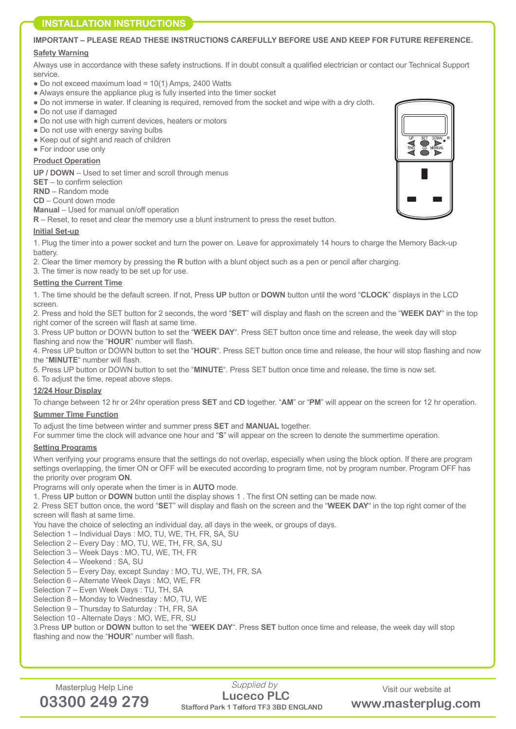# **INSTALLATION INSTRUCTIONS**

#### **IMPORTANT – PLEASE READ THESE INSTRUCTIONS CAREFULLY BEFORE USE AND KEEP FOR FUTURE REFERENCE.**

#### **Safety Warning**

Always use in accordance with these safety instructions. If in doubt consult a qualified electrician or contact our Technical Support service.

- $\bullet$  Do not exceed maximum load = 10(1) Amps, 2400 Watts
- Always ensure the appliance plug is fully inserted into the timer socket
- Do not immerse in water. If cleaning is required, removed from the socket and wipe with a dry cloth.
- Do not use if damaged
- Do not use with high current devices, heaters or motors
- Do not use with energy saving bulbs
- Keep out of sight and reach of children
- For indoor use only

#### **Product Operation**

**UP / DOWN** – Used to set timer and scroll through menus

**SET** – to confirm selection

**RND** – Random mode

**CD** – Count down mode

**Manual** – Used for manual on/off operation

**R** – Reset, to reset and clear the memory use a blunt instrument to press the reset button.

#### **Initial Set-up**

1. Plug the timer into a power socket and turn the power on. Leave for approximately 14 hours to charge the Memory Back-up battery.

2. Clear the timer memory by pressing the **R** button with a blunt object such as a pen or pencil after charging.

3. The timer is now ready to be set up for use.

#### **Setting the Current Time**

1. The time should be the default screen. If not, Press **UP** button or **DOWN** button until the word "**CLOCK**" displays in the LCD screen.

2. Press and hold the SET button for 2 seconds, the word "**SET**" will display and flash on the screen and the "**WEEK DAY**" in the top right corner of the screen will flash at same time.

3. Press UP button or DOWN button to set the "**WEEK DAY**". Press SET button once time and release, the week day will stop flashing and now the "**HOUR**" number will flash.

4. Press UP button or DOWN button to set the "**HOUR**". Press SET button once time and release, the hour will stop flashing and now the "**MINUTE**" number will flash.

5. Press UP button or DOWN button to set the "**MINUTE**". Press SET button once time and release, the time is now set.

6. To adjust the time, repeat above steps.

#### **12/24 Hour Display**

To change between 12 hr or 24hr operation press **SET** and **CD** together. "**AM**" or "**PM**" will appear on the screen for 12 hr operation.

#### **Summer Time Function**

To adjust the time between winter and summer press **SET** and **MANUAL** together.

For summer time the clock will advance one hour and "**S**" will appear on the screen to denote the summertime operation.

#### **Setting Programs**

When verifying your programs ensure that the settings do not overlap, especially when using the block option. If there are program settings overlapping, the timer ON or OFF will be executed according to program time, not by program number. Program OFF has the priority over program **ON**.

Programs will only operate when the timer is in **AUTO** mode.

1. Press **UP** button or **DOWN** button until the display shows 1 . The first ON setting can be made now.

2. Press SET button once, the word "**SE**T" will display and flash on the screen and the "**WEEK DAY**" in the top right corner of the screen will flash at same time.

You have the choice of selecting an individual day, all days in the week, or groups of days.

Selection 1 – Individual Days : MO, TU, WE, TH, FR, SA, SU

Selection 2 – Every Day : MO, TU, WE, TH, FR, SA, SU

Selection 3 – Week Days : MO, TU, WE, TH, FR

Selection 4 – Weekend : SA, SU

Selection 5 – Every Day, except Sunday : MO, TU, WE, TH, FR, SA

Selection 6 – Alternate Week Days : MO, WE, FR

Selection 7 – Even Week Days : TU, TH, SA

Selection 8 – Monday to Wednesday : MO, TU, WE

Selection 9 – Thursday to Saturday : TH, FR, SA

Selection 10 - Alternate Days : MO, WE, FR, SU

3.Press **UP** button or **DOWN** button to set the "**WEEK DAY**". Press **SET** button once time and release, the week day will stop flashing and now the "**HOUR**" number will flash.



Masterplug Help Line Supplied by Supplied by Visit our website at **03300 249 279 Stafford Park 1 Telford TF3 3BD ENGLAND www.masterplug.com Luceco PLC** *Supplied by*